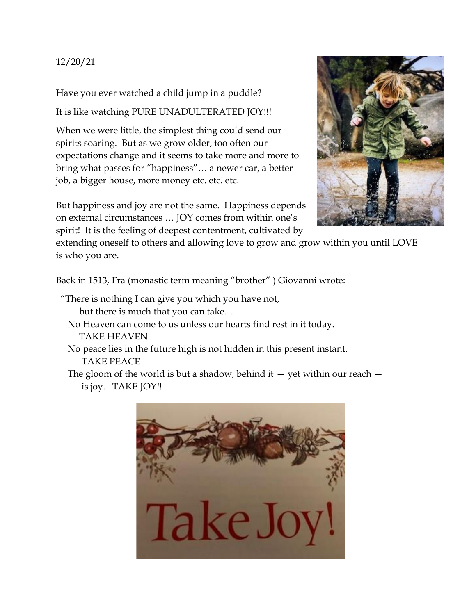12/20/21

Have you ever watched a child jump in a puddle?

It is like watching PURE UNADULTERATED JOY!!!

When we were little, the simplest thing could send our spirits soaring. But as we grow older, too often our expectations change and it seems to take more and more to bring what passes for "happiness"… a newer car, a better job, a bigger house, more money etc. etc. etc.

But happiness and joy are not the same. Happiness depends on external circumstances … JOY comes from within one's spirit! It is the feeling of deepest contentment, cultivated by

extending oneself to others and allowing love to grow and grow within you until LOVE is who you are.

Back in 1513, Fra (monastic term meaning "brother" ) Giovanni wrote:

- "There is nothing I can give you which you have not, but there is much that you can take…
	- No Heaven can come to us unless our hearts find rest in it today. TAKE HEAVEN
	- No peace lies in the future high is not hidden in this present instant. TAKE PEACE
	- The gloom of the world is but a shadow, behind it  $-$  yet within our reach  $$ is joy. TAKE JOY!!